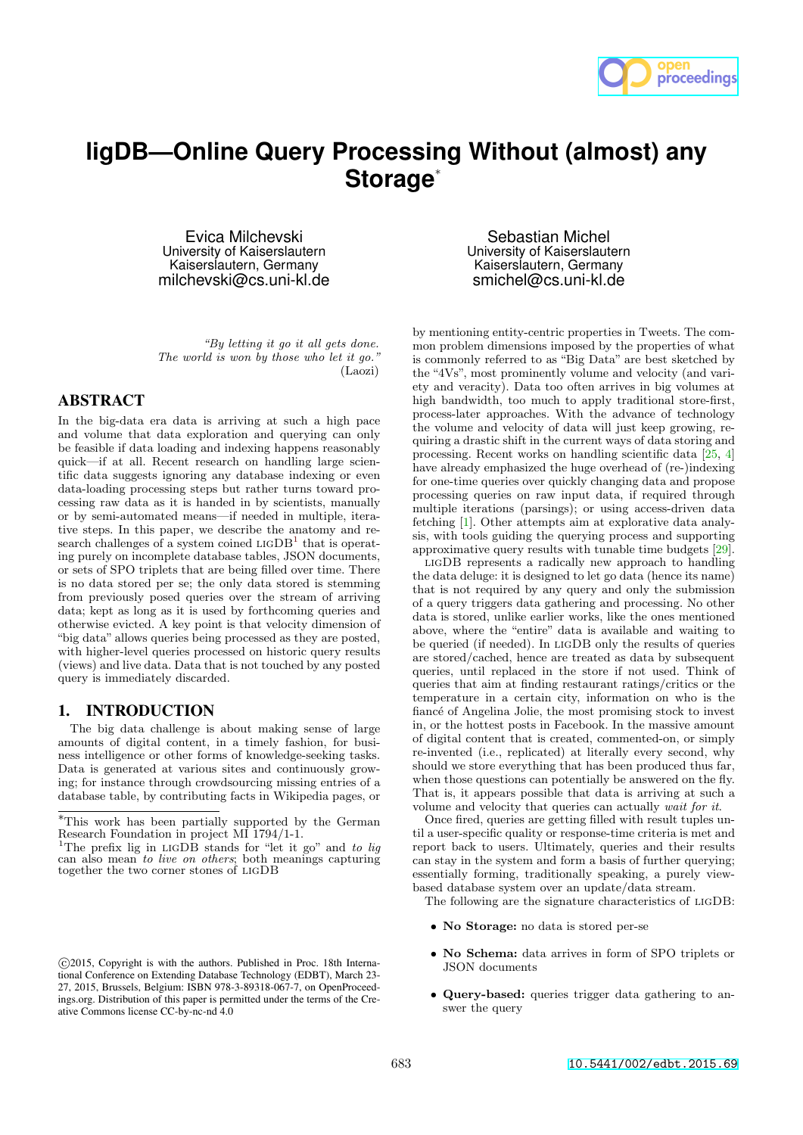

# **ligDB—Online Query Processing Without (almost) any** Storage<sup>®</sup>

Evica Milchevski University of Kaiserslautern Kaiserslautern, Germany milchevski@cs.uni-kl.de

*"By letting it go it all gets done. The world is won by those who let it go."* (Laozi)

## ABSTRACT

In the big-data era data is arriving at such a high pace and volume that data exploration and querying can only be feasible if data loading and indexing happens reasonably quick—if at all. Recent research on handling large scientific data suggests ignoring any database indexing or even data-loading processing steps but rather turns toward processing raw data as it is handed in by scientists, manually or by semi-automated means—if needed in multiple, iterative steps. In this paper, we describe the anatomy and research challenges of a system coined  $LIGDB<sup>1</sup>$  that is operating purely on incomplete database tables, JSON documents, or sets of SPO triplets that are being filled over time. There is no data stored per se; the only data stored is stemming from previously posed queries over the stream of arriving data; kept as long as it is used by forthcoming queries and otherwise evicted. A key point is that velocity dimension of "big data" allows queries being processed as they are posted, with higher-level queries processed on historic query results (views) and live data. Data that is not touched by any posted query is immediately discarded.

## 1. INTRODUCTION

The big data challenge is about making sense of large amounts of digital content, in a timely fashion, for business intelligence or other forms of knowledge-seeking tasks. Data is generated at various sites and continuously growing; for instance through crowdsourcing missing entries of a database table, by contributing facts in Wikipedia pages, or

Sebastian Michel University of Kaiserslautern Kaiserslautern, Germany smichel@cs.uni-kl.de

by mentioning entity-centric properties in Tweets. The common problem dimensions imposed by the properties of what is commonly referred to as "Big Data" are best sketched by the "4Vs", most prominently volume and velocity (and variety and veracity). Data too often arrives in big volumes at high bandwidth, too much to apply traditional store-first, process-later approaches. With the advance of technology the volume and velocity of data will just keep growing, requiring a drastic shift in the current ways of data storing and processing. Recent works on handling scientific data [25, 4] have already emphasized the huge overhead of (re-)indexing for one-time queries over quickly changing data and propose processing queries on raw input data, if required through multiple iterations (parsings); or using access-driven data fetching [1]. Other attempts aim at explorative data analysis, with tools guiding the querying process and supporting approximative query results with tunable time budgets [29].

ligDB represents a radically new approach to handling the data deluge: it is designed to let go data (hence its name) that is not required by any query and only the submission of a query triggers data gathering and processing. No other data is stored, unlike earlier works, like the ones mentioned above, where the "entire" data is available and waiting to be queried (if needed). In ligDB only the results of queries are stored/cached, hence are treated as data by subsequent queries, until replaced in the store if not used. Think of queries that aim at finding restaurant ratings/critics or the temperature in a certain city, information on who is the fiancé of Angelina Jolie, the most promising stock to invest in, or the hottest posts in Facebook. In the massive amount of digital content that is created, commented-on, or simply re-invented (i.e., replicated) at literally every second, why should we store everything that has been produced thus far, when those questions can potentially be answered on the fly. That is, it appears possible that data is arriving at such a volume and velocity that queries can actually *wait for it*.

Once fired, queries are getting filled with result tuples until a user-specific quality or response-time criteria is met and report back to users. Ultimately, queries and their results can stay in the system and form a basis of further querying; essentially forming, traditionally speaking, a purely viewbased database system over an update/data stream.

The following are the signature characteristics of ligDB:

- *•* No Storage: no data is stored per-se
- *•* No Schema: data arrives in form of SPO triplets or JSON documents
- *•* Query-based: queries trigger data gathering to answer the query

<sup>⇤</sup>This work has been partially supported by the German Research Foundation in project MI 1794/1-1.

<sup>1</sup>The prefix lig in ligDB stands for "let it go" and *to lig* can also mean *to live on others*; both meanings capturing together the two corner stones of ligDB

c 2015, Copyright is with the authors. Published in Proc. 18th International Conference on Extending Database Technology (EDBT), March 23- 27, 2015, Brussels, Belgium: ISBN 978-3-89318-067-7, on OpenProceedings.org. Distribution of this paper is permitted under the terms of the Creative Commons license CC-by-nc-nd 4.0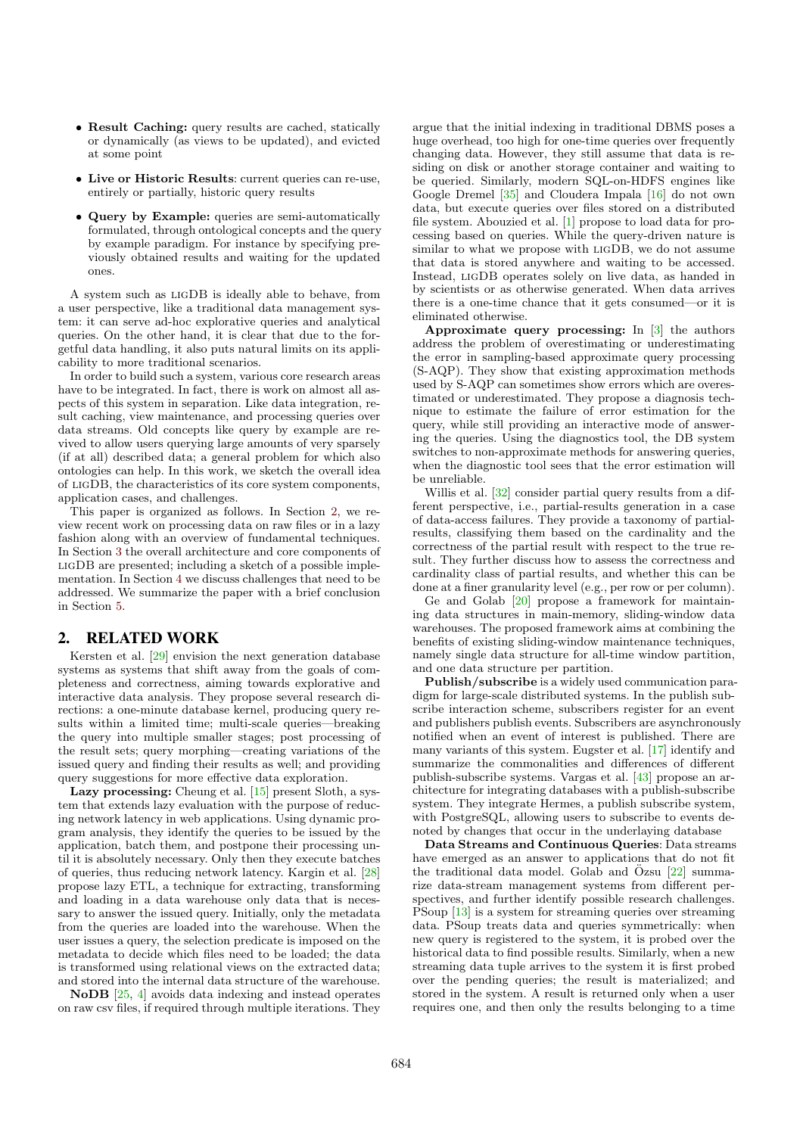- Result Caching: query results are cached, statically or dynamically (as views to be updated), and evicted at some point
- *•* Live or Historic Results: current queries can re-use, entirely or partially, historic query results
- *•* Query by Example: queries are semi-automatically formulated, through ontological concepts and the query by example paradigm. For instance by specifying previously obtained results and waiting for the updated ones.

A system such as ligDB is ideally able to behave, from a user perspective, like a traditional data management system: it can serve ad-hoc explorative queries and analytical queries. On the other hand, it is clear that due to the forgetful data handling, it also puts natural limits on its applicability to more traditional scenarios.

In order to build such a system, various core research areas have to be integrated. In fact, there is work on almost all aspects of this system in separation. Like data integration, result caching, view maintenance, and processing queries over data streams. Old concepts like query by example are revived to allow users querying large amounts of very sparsely (if at all) described data; a general problem for which also ontologies can help. In this work, we sketch the overall idea of ligDB, the characteristics of its core system components, application cases, and challenges.

This paper is organized as follows. In Section 2, we review recent work on processing data on raw files or in a lazy fashion along with an overview of fundamental techniques. In Section 3 the overall architecture and core components of ligDB are presented; including a sketch of a possible implementation. In Section 4 we discuss challenges that need to be addressed. We summarize the paper with a brief conclusion in Section 5.

# 2. RELATED WORK

Kersten et al. [29] envision the next generation database systems as systems that shift away from the goals of completeness and correctness, aiming towards explorative and interactive data analysis. They propose several research directions: a one-minute database kernel, producing query results within a limited time; multi-scale queries—breaking the query into multiple smaller stages; post processing of the result sets; query morphing—creating variations of the issued query and finding their results as well; and providing query suggestions for more effective data exploration.

Lazy processing: Cheung et al. [15] present Sloth, a system that extends lazy evaluation with the purpose of reducing network latency in web applications. Using dynamic program analysis, they identify the queries to be issued by the application, batch them, and postpone their processing until it is absolutely necessary. Only then they execute batches of queries, thus reducing network latency. Kargin et al. [28] propose lazy ETL, a technique for extracting, transforming and loading in a data warehouse only data that is necessary to answer the issued query. Initially, only the metadata from the queries are loaded into the warehouse. When the user issues a query, the selection predicate is imposed on the metadata to decide which files need to be loaded; the data is transformed using relational views on the extracted data; and stored into the internal data structure of the warehouse.

NoDB [25, 4] avoids data indexing and instead operates on raw csv files, if required through multiple iterations. They argue that the initial indexing in traditional DBMS poses a huge overhead, too high for one-time queries over frequently changing data. However, they still assume that data is residing on disk or another storage container and waiting to be queried. Similarly, modern SQL-on-HDFS engines like Google Dremel [35] and Cloudera Impala [16] do not own data, but execute queries over files stored on a distributed file system. Abouzied et al. [1] propose to load data for processing based on queries. While the query-driven nature is similar to what we propose with ligDB, we do not assume that data is stored anywhere and waiting to be accessed. Instead, ligDB operates solely on live data, as handed in by scientists or as otherwise generated. When data arrives there is a one-time chance that it gets consumed—or it is eliminated otherwise.

Approximate query processing: In [3] the authors address the problem of overestimating or underestimating the error in sampling-based approximate query processing (S-AQP). They show that existing approximation methods used by S-AQP can sometimes show errors which are overestimated or underestimated. They propose a diagnosis technique to estimate the failure of error estimation for the query, while still providing an interactive mode of answering the queries. Using the diagnostics tool, the DB system switches to non-approximate methods for answering queries, when the diagnostic tool sees that the error estimation will be unreliable.

Willis et al. [32] consider partial query results from a different perspective, i.e., partial-results generation in a case of data-access failures. They provide a taxonomy of partialresults, classifying them based on the cardinality and the correctness of the partial result with respect to the true result. They further discuss how to assess the correctness and cardinality class of partial results, and whether this can be done at a finer granularity level (e.g., per row or per column).

Ge and Golab [20] propose a framework for maintaining data structures in main-memory, sliding-window data warehouses. The proposed framework aims at combining the benefits of existing sliding-window maintenance techniques, namely single data structure for all-time window partition, and one data structure per partition.

Publish/subscribe is a widely used communication paradigm for large-scale distributed systems. In the publish subscribe interaction scheme, subscribers register for an event and publishers publish events. Subscribers are asynchronously notified when an event of interest is published. There are many variants of this system. Eugster et al. [17] identify and summarize the commonalities and differences of different publish-subscribe systems. Vargas et al. [43] propose an architecture for integrating databases with a publish-subscribe system. They integrate Hermes, a publish subscribe system, with PostgreSQL, allowing users to subscribe to events denoted by changes that occur in the underlaying database

Data Streams and Continuous Queries: Data streams have emerged as an answer to applications that do not fit the traditional data model. Golab and  $\ddot{O}$ zsu [22] summarize data-stream management systems from different perspectives, and further identify possible research challenges. PSoup [13] is a system for streaming queries over streaming data. PSoup treats data and queries symmetrically: when new query is registered to the system, it is probed over the historical data to find possible results. Similarly, when a new streaming data tuple arrives to the system it is first probed over the pending queries; the result is materialized; and stored in the system. A result is returned only when a user requires one, and then only the results belonging to a time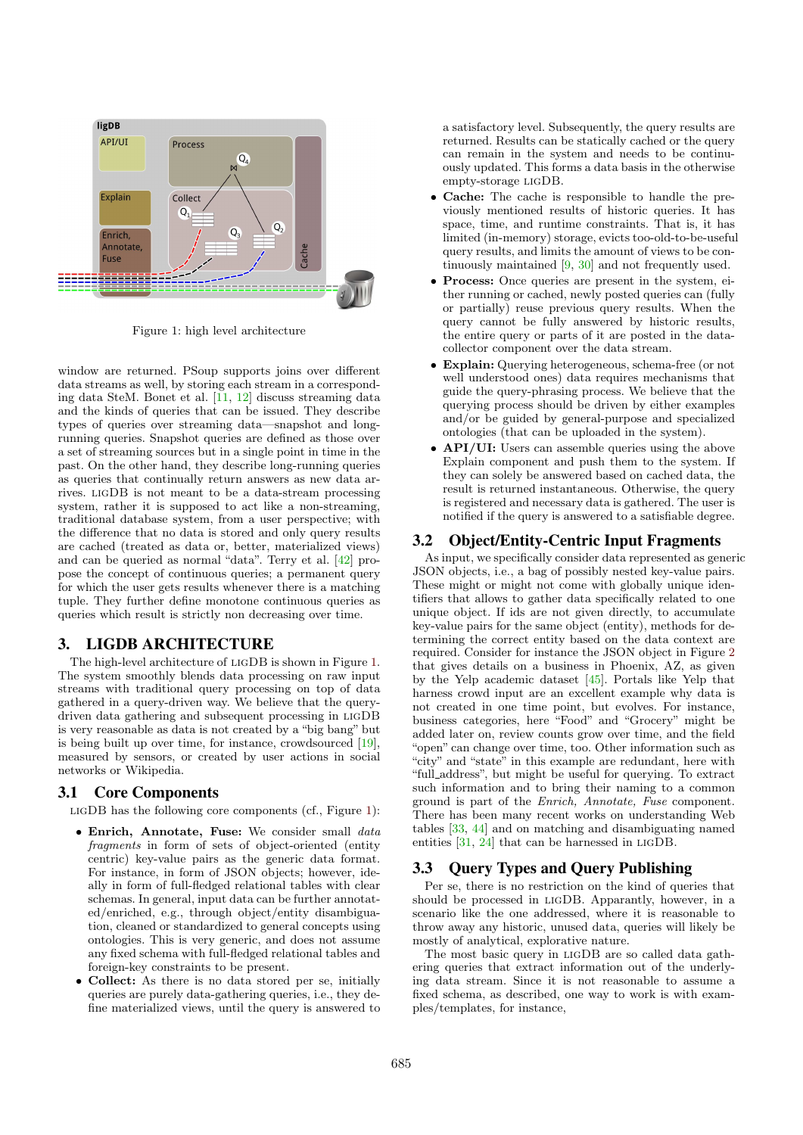

Figure 1: high level architecture

window are returned. PSoup supports joins over different data streams as well, by storing each stream in a corresponding data SteM. Bonet et al. [11, 12] discuss streaming data and the kinds of queries that can be issued. They describe types of queries over streaming data—snapshot and longrunning queries. Snapshot queries are defined as those over a set of streaming sources but in a single point in time in the past. On the other hand, they describe long-running queries as queries that continually return answers as new data arrives. ligDB is not meant to be a data-stream processing system, rather it is supposed to act like a non-streaming, traditional database system, from a user perspective; with the difference that no data is stored and only query results are cached (treated as data or, better, materialized views) and can be queried as normal "data". Terry et al. [42] propose the concept of continuous queries; a permanent query for which the user gets results whenever there is a matching tuple. They further define monotone continuous queries as queries which result is strictly non decreasing over time.

## 3. LIGDB ARCHITECTURE

The high-level architecture of ligDB is shown in Figure 1. The system smoothly blends data processing on raw input streams with traditional query processing on top of data gathered in a query-driven way. We believe that the querydriven data gathering and subsequent processing in ligDB is very reasonable as data is not created by a "big bang" but is being built up over time, for instance, crowdsourced [19], measured by sensors, or created by user actions in social networks or Wikipedia.

# 3.1 Core Components

LIGDB has the following core components (cf., Figure 1):

- *•* Enrich, Annotate, Fuse: We consider small *data fragments* in form of sets of object-oriented (entity centric) key-value pairs as the generic data format. For instance, in form of JSON objects; however, ideally in form of full-fledged relational tables with clear schemas. In general, input data can be further annotated/enriched, e.g., through object/entity disambiguation, cleaned or standardized to general concepts using ontologies. This is very generic, and does not assume any fixed schema with full-fledged relational tables and foreign-key constraints to be present.
- *•* Collect: As there is no data stored per se, initially queries are purely data-gathering queries, i.e., they define materialized views, until the query is answered to

a satisfactory level. Subsequently, the query results are returned. Results can be statically cached or the query can remain in the system and needs to be continuously updated. This forms a data basis in the otherwise empty-storage ligDB.

- **Cache:** The cache is responsible to handle the previously mentioned results of historic queries. It has space, time, and runtime constraints. That is, it has limited (in-memory) storage, evicts too-old-to-be-useful query results, and limits the amount of views to be continuously maintained [9, 30] and not frequently used.
- **Process:** Once queries are present in the system, either running or cached, newly posted queries can (fully or partially) reuse previous query results. When the query cannot be fully answered by historic results, the entire query or parts of it are posted in the datacollector component over the data stream.
- *•* Explain: Querying heterogeneous, schema-free (or not well understood ones) data requires mechanisms that guide the query-phrasing process. We believe that the querying process should be driven by either examples and/or be guided by general-purpose and specialized ontologies (that can be uploaded in the system).
- **API/UI:** Users can assemble queries using the above Explain component and push them to the system. If they can solely be answered based on cached data, the result is returned instantaneous. Otherwise, the query is registered and necessary data is gathered. The user is notified if the query is answered to a satisfiable degree.

#### 3.2 Object/Entity-Centric Input Fragments

As input, we specifically consider data represented as generic JSON objects, i.e., a bag of possibly nested key-value pairs. These might or might not come with globally unique identifiers that allows to gather data specifically related to one unique object. If ids are not given directly, to accumulate key-value pairs for the same object (entity), methods for determining the correct entity based on the data context are required. Consider for instance the JSON object in Figure 2 that gives details on a business in Phoenix, AZ, as given by the Yelp academic dataset [45]. Portals like Yelp that harness crowd input are an excellent example why data is not created in one time point, but evolves. For instance, business categories, here "Food" and "Grocery" might be added later on, review counts grow over time, and the field "open" can change over time, too. Other information such as "city" and "state" in this example are redundant, here with "full address", but might be useful for querying. To extract such information and to bring their naming to a common ground is part of the *Enrich, Annotate, Fuse* component. There has been many recent works on understanding Web tables [33, 44] and on matching and disambiguating named entities [31, 24] that can be harnessed in ligDB.

## 3.3 Query Types and Query Publishing

Per se, there is no restriction on the kind of queries that should be processed in ligDB. Apparantly, however, in a scenario like the one addressed, where it is reasonable to throw away any historic, unused data, queries will likely be mostly of analytical, explorative nature.

The most basic query in ligDB are so called data gathering queries that extract information out of the underlying data stream. Since it is not reasonable to assume a fixed schema, as described, one way to work is with examples/templates, for instance,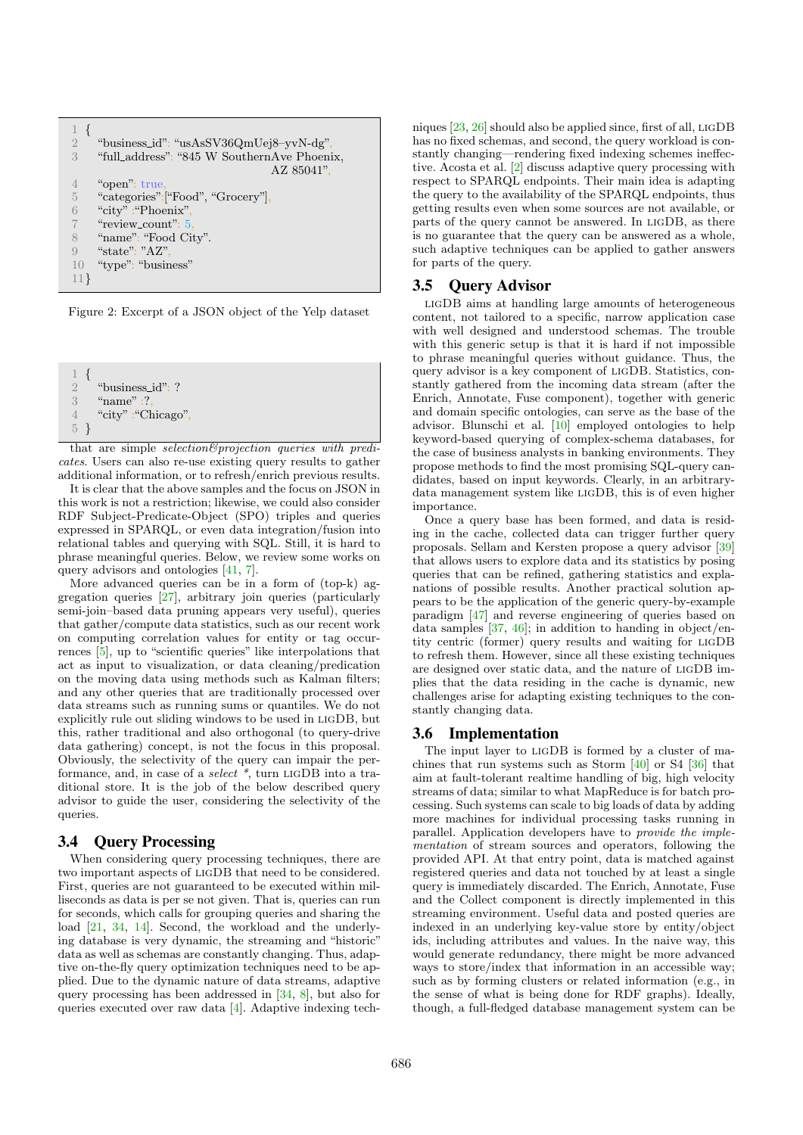| $\overline{2}$ | "business_id": "usAsSV36QmUej8-yvN-dg",     |
|----------------|---------------------------------------------|
| $\mathcal{S}$  | "full_address": "845 W SouthernAve Phoenix, |
|                | AZ 85041".                                  |
|                | "open": true,                               |
| $\overline{5}$ | "categories": ["Food", "Grocery"],          |
| 6              | "city": "Phoenix",                          |
|                | "review_count": 5,                          |
| 8              | "name": "Food City".                        |
| 9              | "state": " $AZ$ ".                          |
| 10             | "type": "business"                          |
| 11             |                                             |
|                |                                             |

Figure 2: Excerpt of a JSON object of the Yelp dataset

```
\frac{1}{2} {
2 "business_id": ?<br>3 "name" :?.
      "name" :?
4 "city" :"Chicago",
5 }
```
that are simple *selection&projection queries with predicates*. Users can also re-use existing query results to gather additional information, or to refresh/enrich previous results.

It is clear that the above samples and the focus on JSON in this work is not a restriction; likewise, we could also consider RDF Subject-Predicate-Object (SPO) triples and queries expressed in SPARQL, or even data integration/fusion into relational tables and querying with SQL. Still, it is hard to phrase meaningful queries. Below, we review some works on query advisors and ontologies [41, 7].

More advanced queries can be in a form of (top-k) aggregation queries [27], arbitrary join queries (particularly semi-join–based data pruning appears very useful), queries that gather/compute data statistics, such as our recent work on computing correlation values for entity or tag occurrences  $\overline{[5]}$ , up to "scientific queries" like interpolations that act as input to visualization, or data cleaning/predication on the moving data using methods such as Kalman filters; and any other queries that are traditionally processed over data streams such as running sums or quantiles. We do not explicitly rule out sliding windows to be used in ligDB, but this, rather traditional and also orthogonal (to query-drive data gathering) concept, is not the focus in this proposal. Obviously, the selectivity of the query can impair the performance, and, in case of a *select \**, turn ligDB into a traditional store. It is the job of the below described query advisor to guide the user, considering the selectivity of the queries.

#### 3.4 Query Processing

When considering query processing techniques, there are two important aspects of ligDB that need to be considered. First, queries are not guaranteed to be executed within milliseconds as data is per se not given. That is, queries can run for seconds, which calls for grouping queries and sharing the load [21, 34, 14]. Second, the workload and the underlying database is very dynamic, the streaming and "historic" data as well as schemas are constantly changing. Thus, adaptive on-the-fly query optimization techniques need to be applied. Due to the dynamic nature of data streams, adaptive query processing has been addressed in [34, 8], but also for queries executed over raw data [4]. Adaptive indexing techniques [23, 26] should also be applied since, first of all, LIGDB has no fixed schemas, and second, the query workload is constantly changing—rendering fixed indexing schemes ineffective. Acosta et al. [2] discuss adaptive query processing with respect to SPARQL endpoints. Their main idea is adapting the query to the availability of the SPARQL endpoints, thus getting results even when some sources are not available, or parts of the query cannot be answered. In ligDB, as there is no guarantee that the query can be answered as a whole, such adaptive techniques can be applied to gather answers for parts of the query.

## 3.5 Query Advisor

ligDB aims at handling large amounts of heterogeneous content, not tailored to a specific, narrow application case with well designed and understood schemas. The trouble with this generic setup is that it is hard if not impossible to phrase meaningful queries without guidance. Thus, the query advisor is a key component of ligDB. Statistics, constantly gathered from the incoming data stream (after the Enrich, Annotate, Fuse component), together with generic and domain specific ontologies, can serve as the base of the advisor. Blunschi et al. [10] employed ontologies to help keyword-based querying of complex-schema databases, for the case of business analysts in banking environments. They propose methods to find the most promising SQL-query candidates, based on input keywords. Clearly, in an arbitrarydata management system like ligDB, this is of even higher importance.

Once a query base has been formed, and data is residing in the cache, collected data can trigger further query proposals. Sellam and Kersten propose a query advisor [39] that allows users to explore data and its statistics by posing queries that can be refined, gathering statistics and explanations of possible results. Another practical solution appears to be the application of the generic query-by-example paradigm [47] and reverse engineering of queries based on data samples [37, 46]; in addition to handing in object/entity centric (former) query results and waiting for ligDB to refresh them. However, since all these existing techniques are designed over static data, and the nature of ligDB implies that the data residing in the cache is dynamic, new challenges arise for adapting existing techniques to the constantly changing data.

#### 3.6 Implementation

The input layer to ligDB is formed by a cluster of machines that run systems such as Storm [40] or S4 [36] that aim at fault-tolerant realtime handling of big, high velocity streams of data; similar to what MapReduce is for batch processing. Such systems can scale to big loads of data by adding more machines for individual processing tasks running in parallel. Application developers have to *provide the implementation* of stream sources and operators, following the provided API. At that entry point, data is matched against registered queries and data not touched by at least a single query is immediately discarded. The Enrich, Annotate, Fuse and the Collect component is directly implemented in this streaming environment. Useful data and posted queries are indexed in an underlying key-value store by entity/object ids, including attributes and values. In the naive way, this would generate redundancy, there might be more advanced ways to store/index that information in an accessible way; such as by forming clusters or related information (e.g., in the sense of what is being done for RDF graphs). Ideally, though, a full-fledged database management system can be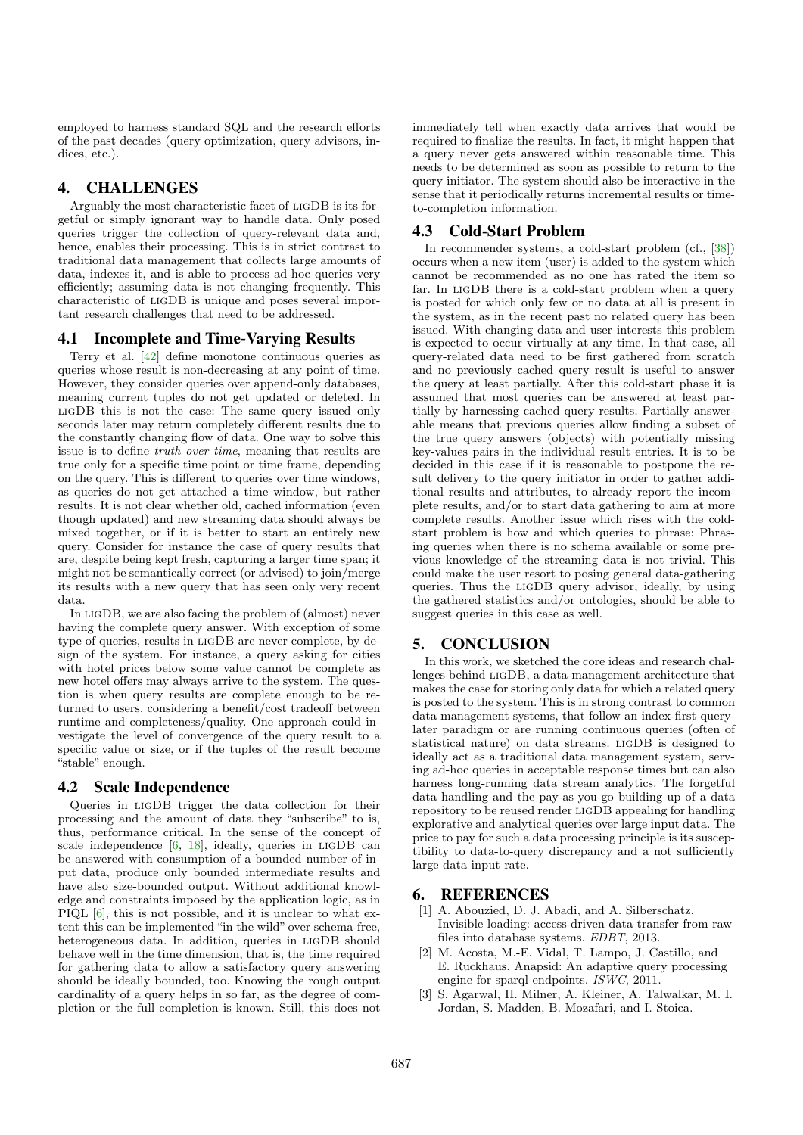employed to harness standard SQL and the research efforts of the past decades (query optimization, query advisors, indices, etc.).

## 4. CHALLENGES

Arguably the most characteristic facet of ligDB is its forgetful or simply ignorant way to handle data. Only posed queries trigger the collection of query-relevant data and, hence, enables their processing. This is in strict contrast to traditional data management that collects large amounts of data, indexes it, and is able to process ad-hoc queries very efficiently; assuming data is not changing frequently. This characteristic of ligDB is unique and poses several important research challenges that need to be addressed.

#### 4.1 Incomplete and Time-Varying Results

Terry et al. [42] define monotone continuous queries as queries whose result is non-decreasing at any point of time. However, they consider queries over append-only databases, meaning current tuples do not get updated or deleted. In ligDB this is not the case: The same query issued only seconds later may return completely different results due to the constantly changing flow of data. One way to solve this issue is to define *truth over time*, meaning that results are true only for a specific time point or time frame, depending on the query. This is different to queries over time windows, as queries do not get attached a time window, but rather results. It is not clear whether old, cached information (even though updated) and new streaming data should always be mixed together, or if it is better to start an entirely new query. Consider for instance the case of query results that are, despite being kept fresh, capturing a larger time span; it might not be semantically correct (or advised) to join/merge its results with a new query that has seen only very recent data.

In ligDB, we are also facing the problem of (almost) never having the complete query answer. With exception of some type of queries, results in ligDB are never complete, by design of the system. For instance, a query asking for cities with hotel prices below some value cannot be complete as new hotel offers may always arrive to the system. The question is when query results are complete enough to be returned to users, considering a benefit/cost tradeoff between runtime and completeness/quality. One approach could investigate the level of convergence of the query result to a specific value or size, or if the tuples of the result become "stable" enough.

## 4.2 Scale Independence

Queries in ligDB trigger the data collection for their processing and the amount of data they "subscribe" to is, thus, performance critical. In the sense of the concept of scale independence  $[6, 18]$ , ideally, queries in LIGDB can be answered with consumption of a bounded number of input data, produce only bounded intermediate results and have also size-bounded output. Without additional knowledge and constraints imposed by the application logic, as in PIQL  $[6]$ , this is not possible, and it is unclear to what extent this can be implemented "in the wild" over schema-free, heterogeneous data. In addition, queries in ligDB should behave well in the time dimension, that is, the time required for gathering data to allow a satisfactory query answering should be ideally bounded, too. Knowing the rough output cardinality of a query helps in so far, as the degree of completion or the full completion is known. Still, this does not

immediately tell when exactly data arrives that would be required to finalize the results. In fact, it might happen that a query never gets answered within reasonable time. This needs to be determined as soon as possible to return to the query initiator. The system should also be interactive in the sense that it periodically returns incremental results or timeto-completion information.

#### 4.3 Cold-Start Problem

In recommender systems, a cold-start problem (cf., [38]) occurs when a new item (user) is added to the system which cannot be recommended as no one has rated the item so far. In ligDB there is a cold-start problem when a query is posted for which only few or no data at all is present in the system, as in the recent past no related query has been issued. With changing data and user interests this problem is expected to occur virtually at any time. In that case, all query-related data need to be first gathered from scratch and no previously cached query result is useful to answer the query at least partially. After this cold-start phase it is assumed that most queries can be answered at least partially by harnessing cached query results. Partially answerable means that previous queries allow finding a subset of the true query answers (objects) with potentially missing key-values pairs in the individual result entries. It is to be decided in this case if it is reasonable to postpone the result delivery to the query initiator in order to gather additional results and attributes, to already report the incomplete results, and/or to start data gathering to aim at more complete results. Another issue which rises with the coldstart problem is how and which queries to phrase: Phrasing queries when there is no schema available or some previous knowledge of the streaming data is not trivial. This could make the user resort to posing general data-gathering queries. Thus the ligDB query advisor, ideally, by using the gathered statistics and/or ontologies, should be able to suggest queries in this case as well.

## 5. CONCLUSION

In this work, we sketched the core ideas and research challenges behind ligDB, a data-management architecture that makes the case for storing only data for which a related query is posted to the system. This is in strong contrast to common data management systems, that follow an index-first-querylater paradigm or are running continuous queries (often of statistical nature) on data streams. ligDB is designed to ideally act as a traditional data management system, serving ad-hoc queries in acceptable response times but can also harness long-running data stream analytics. The forgetful data handling and the pay-as-you-go building up of a data repository to be reused render ligDB appealing for handling explorative and analytical queries over large input data. The price to pay for such a data processing principle is its susceptibility to data-to-query discrepancy and a not sufficiently large data input rate.

#### 6. REFERENCES

- [1] A. Abouzied, D. J. Abadi, and A. Silberschatz. Invisible loading: access-driven data transfer from raw files into database systems. *EDBT*, 2013.
- [2] M. Acosta, M.-E. Vidal, T. Lampo, J. Castillo, and E. Ruckhaus. Anapsid: An adaptive query processing engine for sparql endpoints. *ISWC*, 2011.
- [3] S. Agarwal, H. Milner, A. Kleiner, A. Talwalkar, M. I. Jordan, S. Madden, B. Mozafari, and I. Stoica.